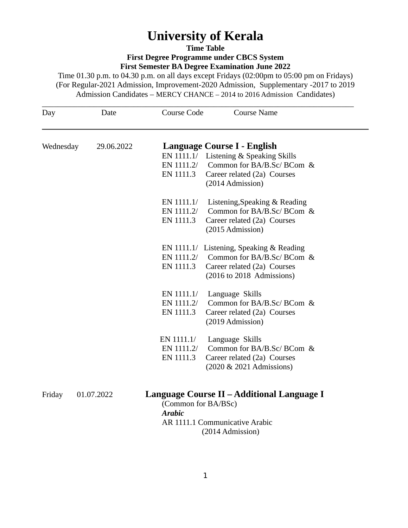# **University of Kerala**

**Time Table**

**First Degree Programme under CBCS System**

**First Semester BA Degree Examination June 2022**

Time 01.30 p.m. to 04.30 p.m. on all days except Fridays (02:00pm to 05:00 pm on Fridays) (For Regular-2021 Admission, Improvement-2020 Admission, Supplementary -2017 to 2019 Admission Candidates – MERCY CHANCE – 2014 to 2016 Admission Candidates)

| Day       | Date       | <b>Course Name</b><br>Course Code                                                                                                                                              |  |
|-----------|------------|--------------------------------------------------------------------------------------------------------------------------------------------------------------------------------|--|
| Wednesday | 29.06.2022 | Language Course I - English<br>EN 1111.1/ Listening & Speaking Skills<br>EN 1111.2/ Common for BA/B.Sc/ BCom &<br>EN 1111.3<br>Career related (2a) Courses<br>(2014 Admission) |  |
|           |            | EN 1111.1/<br>Listening, Speaking & Reading<br>Common for BA/B.Sc/ BCom &<br>EN 1111.2/<br>EN 1111.3<br>Career related (2a) Courses<br>(2015 Admission)                        |  |
|           |            | EN 1111.1/ Listening, Speaking & Reading<br>EN 1111.2/ Common for BA/B.Sc/ BCom &<br>EN 1111.3<br>Career related (2a) Courses<br>(2016 to 2018 Admissions)                     |  |
|           |            | EN 1111.1/<br>Language Skills<br>EN 1111.2/<br>Common for BA/B.Sc/ BCom &<br>Career related (2a) Courses<br>EN 1111.3<br>(2019 Admission)                                      |  |
|           |            | EN 1111.1/<br>Language Skills<br>Common for BA/B.Sc/ BCom &<br>EN 1111.2/<br>EN 1111.3<br>Career related (2a) Courses<br>(2020 & 2021 Admissions)                              |  |
| Friday    | 01.07.2022 | Language Course II – Additional Language I<br>(Common for BA/BSc)<br><b>Arabic</b><br>AR 1111.1 Communicative Arabic<br>(2014 Admission)                                       |  |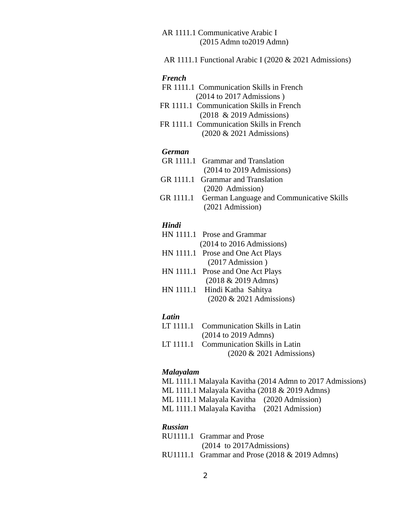AR 1111.1 Communicative Arabic I (2015 Admn to2019 Admn)

AR 1111.1 Functional Arabic I (2020 & 2021 Admissions)

# *French*

- FR 1111.1 Communication Skills in French (2014 to 2017 Admissions )
- FR 1111.1 Communication Skills in French (2018 & 2019 Admissions)
- **FR 1111.1 Communication Skills in French** (2020 & 2021 Admissions)

## *German*

- GR 1111.1 Grammar and Translation (2014 to 2019 Admissions)
- GR 1111.1 Grammar and Translation (2020 Admission)
- GR 1111.1 German Language and Communicative Skills (2021 Admission)

#### *Hindi*

- HN 1111.1 Prose and Grammar (2014 to 2016 Admissions)
- HN 1111.1 Prose and One Act Plays (2017 Admission )
- HN 1111.1 Prose and One Act Plays (2018 & 2019 Admns)
- HN 1111.1 Hindi Katha Sahitya (2020 & 2021 Admissions)

# *Latin*

- LT 1111.1 Communication Skills in Latin (2014 to 2019 Admns)
- LT 1111.1 Communication Skills in Latin (2020 & 2021 Admissions)

# *Malayalam*

- ML 1111.1 Malayala Kavitha (2014 Admn to 2017 Admissions)
- ML 1111.1 Malayala Kavitha (2018 & 2019 Admns)
- ML 1111.1 Malayala Kavitha (2020 Admission)
- ML 1111.1 Malayala Kavitha (2021 Admission)

# *Russian*

RU1111.1 Grammar and Prose (2014 to 2017Admissions) RU1111.1 Grammar and Prose (2018 & 2019 Admns)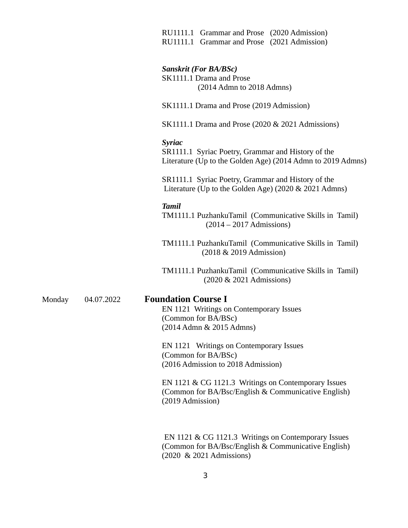RU1111.1 Grammar and Prose(2020 Admission) RU1111.1 Grammar and Prose(2021 Admission)

#### *Sanskrit (For BA/BSc)*

SK1111.1 Drama and Prose (2014 Admn to 2018 Admns)

SK1111.1 Drama and Prose (2019 Admission)

SK1111.1 Drama and Prose (2020 & 2021 Admissions)

# *Syriac*

SR1111.1 Syriac Poetry, Grammar and History of the Literature (Up to the Golden Age) (2014 Admn to 2019 Admns)

**SR1111.1 Syriac Poetry, Grammar and History of the** Literature (Up to the Golden Age) (2020 & 2021 Admns)

#### *Tamil*

TM1111.1 PuzhankuTamil (Communicative Skills in Tamil) (2014 – 2017 Admissions)

TM1111.1 PuzhankuTamil (Communicative Skills in Tamil) (2018 & 2019 Admission)

TM1111.1 PuzhankuTamil (Communicative Skills in Tamil) (2020 & 2021 Admissions)

# Monday 04.07.2022 **Foundation Course I**

EN 1121 Writings on Contemporary Issues (Common for BA/BSc) (2014 Admn & 2015 Admns)

EN 1121 Writings on Contemporary Issues (Common for BA/BSc) (2016 Admission to 2018 Admission)

EN 1121 & CG 1121.3 Writings on Contemporary Issues (Common for BA/Bsc/English & Communicative English) (2019 Admission)

EN 1121 & CG 1121.3 Writings on Contemporary Issues (Common for BA/Bsc/English & Communicative English) (2020 & 2021 Admissions)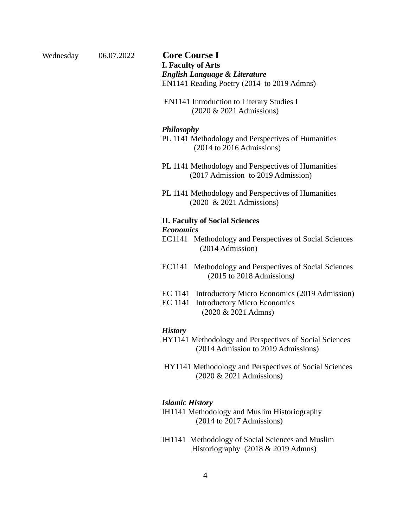Wednesday 06.07.2022 **Core Course I I. Faculty of Arts** *English Language & Literature* EN1141 Reading Poetry (2014 to 2019 Admns)

> **EN1141 Introduction to Literary Studies I** (2020 & 2021 Admissions)

# *Philosophy*

PL 1141 Methodology and Perspectives of Humanities (2014 to 2016 Admissions)

- PL 1141 Methodology and Perspectives of Humanities (2017 Admission to 2019 Admission)
- PL 1141 Methodology and Perspectives of Humanities (2020 & 2021 Admissions)

## **II. Faculty of Social Sciences** *Economics*

- EC1141 Methodology and Perspectives of Social Sciences (2014 Admission)
- EC1141 Methodology and Perspectives of Social Sciences (2015 to 2018 Admissions*)*
- EC 1141 Introductory Micro Economics (2019 Admission)
- **EC 1141 Introductory Micro Economics** (2020 & 2021 Admns)

# *History*

- HY1141 Methodology and Perspectives of Social Sciences (2014 Admission to 2019 Admissions)
- HY1141 Methodology and Perspectives of Social Sciences (2020 & 2021 Admissions)

# *Islamic History*

- IH1141 Methodology and Muslim Historiography (2014 to 2017 Admissions)
- IH1141 Methodology of Social Sciences and Muslim Historiography (2018 & 2019 Admns)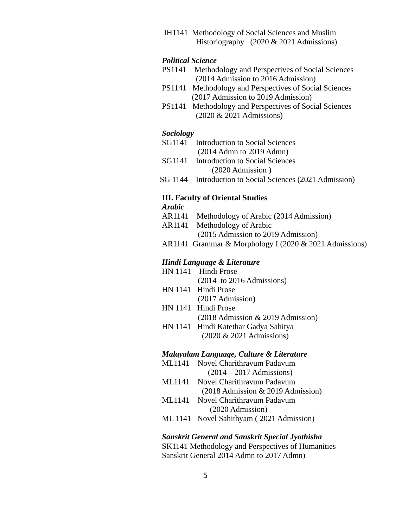**IH1141** Methodology of Social Sciences and Muslim Historiography (2020 & 2021 Admissions)

# *Political Science*

- PS1141 Methodology and Perspectives of Social Sciences (2014 Admission to 2016 Admission)
- PS1141 Methodology and Perspectives of Social Sciences (2017 Admission to 2019 Admission)
- **PS1141** Methodology and Perspectives of Social Sciences (2020 & 2021 Admissions)

# *Sociology*

- SG1141 Introduction to Social Sciences (2014 Admn to 2019 Admn)
- SG1141 Introduction to Social Sciences (2020 Admission )
- SG 1144 Introduction to Social Sciences (2021 Admission)

# **III. Faculty of Oriental Studies**

*Arabic*

- AR1141 Methodology of Arabic (2014 Admission)
- AR1141 Methodology of Arabic (2015 Admission to 2019 Admission)
- AR1141 Grammar & Morphology I (2020 & 2021 Admissions)

# *Hindi Language & Literature*

- HN 1141 Hindi Prose
	- (2014 to 2016 Admissions)
- HN 1141 Hindi Prose (2017 Admission)
- HN 1141 Hindi Prose (2018 Admission & 2019 Admission)
- HN 1141 Hindi Katethar Gadya Sahitya (2020 & 2021 Admissions)

#### *Malayalam Language, Culture & Literature*

- ML1141 Novel Charithravum Padavum (2014 – 2017 Admissions)
- ML1141 Novel Charithravum Padavum (2018 Admission & 2019 Admission)
- ML1141 Novel Charithravum Padavum (2020 Admission)
- ML 1141 Novel Sahithyam ( 2021 Admission)

# *Sanskrit General and Sanskrit Special Jyothisha*

SK1141 Methodology and Perspectives of Humanities Sanskrit General 2014 Admn to 2017 Admn)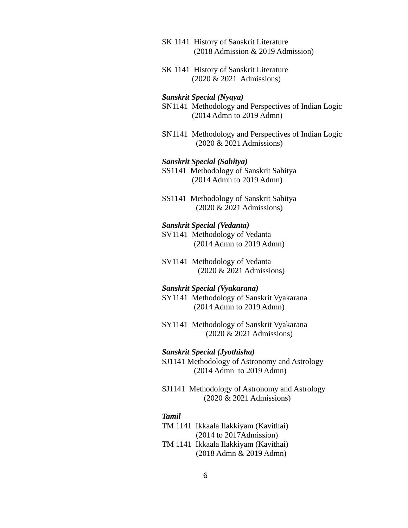- SK 1141 History of Sanskrit Literature (2018 Admission & 2019 Admission)
- **SK 1141 History of Sanskrit Literature** (2020 & 2021 Admissions)

# *Sanskrit Special (Nyaya)*

- SN1141 Methodology and Perspectives of Indian Logic (2014 Admn to 2019 Admn)
- SN1141 Methodology and Perspectives of Indian Logic (2020 & 2021 Admissions)

## *Sanskrit Special (Sahitya)*

- SS1141 Methodology of Sanskrit Sahitya (2014 Admn to 2019 Admn)
- SS1141 Methodology of Sanskrit Sahitya (2020 & 2021 Admissions)

#### *Sanskrit Special (Vedanta)*

- SV1141 Methodology of Vedanta (2014 Admn to 2019 Admn)
- SV1141 Methodology of Vedanta (2020 & 2021 Admissions)

#### *Sanskrit Special (Vyakarana)*

- SY1141 Methodology of Sanskrit Vyakarana (2014 Admn to 2019 Admn)
- SY1141 Methodology of Sanskrit Vyakarana (2020 & 2021 Admissions)

#### *Sanskrit Special (Jyothisha)*

SJ1141 Methodology of Astronomy and Astrology (2014 Admn to 2019 Admn)

SJ1141 Methodology of Astronomy and Astrology (2020 & 2021 Admissions)

# *Tamil*

- TM 1141 Ikkaala Ilakkiyam (Kavithai) (2014 to 2017Admission)
- TM 1141 Ikkaala Ilakkiyam (Kavithai)
- (2018 Admn & 2019 Admn)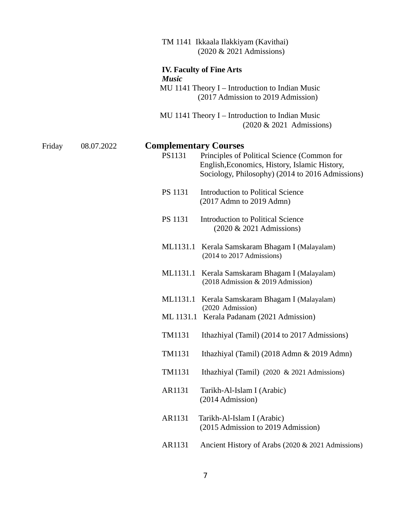|        |            |              |                | TM 1141 Ikkaala Ilakkiyam (Kavithai)<br>(2020 & 2021 Admissions)                                                                                                                 |
|--------|------------|--------------|----------------|----------------------------------------------------------------------------------------------------------------------------------------------------------------------------------|
|        |            | <b>Music</b> |                | <b>IV. Faculty of Fine Arts</b>                                                                                                                                                  |
|        |            |              |                | MU 1141 Theory I - Introduction to Indian Music<br>(2017 Admission to 2019 Admission)                                                                                            |
|        |            |              |                | MU 1141 Theory I – Introduction to Indian Music<br>(2020 & 2021 Admissions)                                                                                                      |
|        |            |              |                |                                                                                                                                                                                  |
| Friday | 08.07.2022 |              | PS1131         | <b>Complementary Courses</b><br>Principles of Political Science (Common for<br>English, Economics, History, Islamic History,<br>Sociology, Philosophy) (2014 to 2016 Admissions) |
|        |            |              | <b>PS 1131</b> | <b>Introduction to Political Science</b><br>(2017 Admn to 2019 Admn)                                                                                                             |
|        |            |              | <b>PS 1131</b> | <b>Introduction to Political Science</b><br>(2020 & 2021 Admissions)                                                                                                             |
|        |            |              |                | ML1131.1 Kerala Samskaram Bhagam I (Malayalam)<br>(2014 to 2017 Admissions)                                                                                                      |
|        |            |              |                | ML1131.1 Kerala Samskaram Bhagam I (Malayalam)<br>(2018 Admission & 2019 Admission)                                                                                              |
|        |            |              | ML1131.1       | Kerala Samskaram Bhagam I (Malayalam)<br>(2020 Admission)                                                                                                                        |
|        |            |              |                | ML 1131.1 Kerala Padanam (2021 Admission)                                                                                                                                        |
|        |            |              | TM1131         | Ithazhiyal (Tamil) (2014 to 2017 Admissions)                                                                                                                                     |
|        |            |              | TM1131         | Ithazhiyal (Tamil) (2018 Admn & 2019 Admn)                                                                                                                                       |
|        |            |              | TM1131         | Ithazhiyal (Tamil) (2020 & 2021 Admissions)                                                                                                                                      |
|        |            |              | AR1131         | Tarikh-Al-Islam I (Arabic)<br>(2014 Admission)                                                                                                                                   |
|        |            |              | AR1131         | Tarikh-Al-Islam I (Arabic)<br>(2015 Admission to 2019 Admission)                                                                                                                 |
|        |            |              | AR1131         | Ancient History of Arabs (2020 & 2021 Admissions)                                                                                                                                |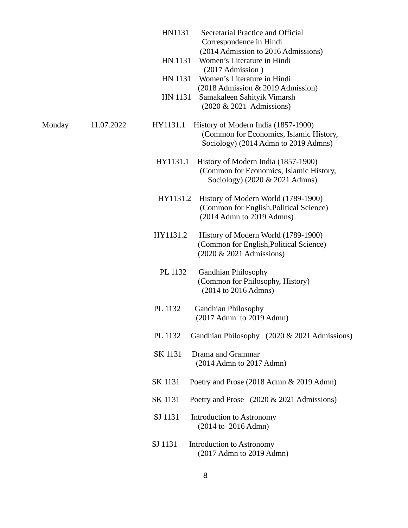|        |            | HN1131   | Secretarial Practice and Official<br>Correspondence in Hindi                                                           |
|--------|------------|----------|------------------------------------------------------------------------------------------------------------------------|
|        |            | HN 1131  | (2014 Admission to 2016 Admissions)<br>Women's Literature in Hindi<br>(2017 Admission)                                 |
|        |            | HN 1131  | Women's Literature in Hindi<br>(2018 Admission & 2019 Admission)                                                       |
|        |            | HN 1131  | Samakaleen Sahityik Vimarsh<br>(2020 & 2021 Admissions)                                                                |
| Monday | 11.07.2022 | HY1131.1 | History of Modern India (1857-1900)<br>(Common for Economics, Islamic History,<br>Sociology) (2014 Admn to 2019 Admns) |
|        |            | HY1131.1 | History of Modern India (1857-1900)<br>(Common for Economics, Islamic History,<br>Sociology) (2020 & 2021 Admns)       |
|        |            | HY1131.2 | History of Modern World (1789-1900)<br>(Common for English, Political Science)<br>(2014 Admn to 2019 Admns)            |
|        |            | HY1131.2 | History of Modern World (1789-1900)<br>(Common for English, Political Science)<br>(2020 & 2021 Admissions)             |
|        |            | PL 1132  | <b>Gandhian Philosophy</b><br>(Common for Philosophy, History)<br>(2014 to 2016 Admns)                                 |
|        |            | PL 1132  | <b>Gandhian Philosophy</b><br>(2017 Admn to 2019 Admn)                                                                 |
|        |            | PL 1132  | Gandhian Philosophy (2020 & 2021 Admissions)                                                                           |
|        |            | SK 1131  | Drama and Grammar<br>$(2014$ Admn to $2017$ Admn)                                                                      |
|        |            | SK 1131  | Poetry and Prose (2018 Admn & 2019 Admn)                                                                               |
|        |            | SK 1131  | Poetry and Prose (2020 & 2021 Admissions)                                                                              |
|        |            | SJ 1131  | <b>Introduction to Astronomy</b><br>(2014 to 2016 Admn)                                                                |
|        |            | SJ 1131  | <b>Introduction to Astronomy</b><br>(2017 Admn to 2019 Admn)                                                           |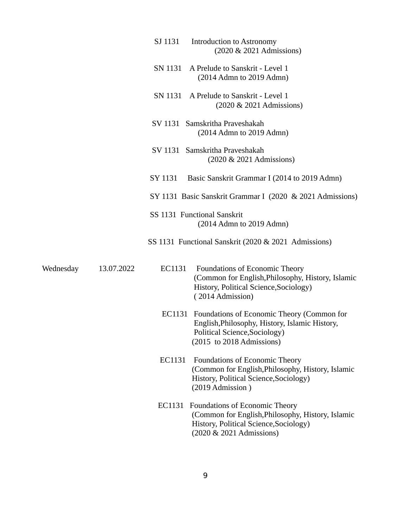|           |            | SJ 1131<br>Introduction to Astronomy<br>(2020 & 2021 Admissions)                                                                                                  |
|-----------|------------|-------------------------------------------------------------------------------------------------------------------------------------------------------------------|
|           |            | A Prelude to Sanskrit - Level 1<br>SN 1131<br>$(2014$ Admn to $2019$ Admn)                                                                                        |
|           |            | SN 1131 A Prelude to Sanskrit - Level 1<br>(2020 & 2021 Admissions)                                                                                               |
|           |            | SV 1131 Samskritha Praveshakah<br>$(2014$ Admn to $2019$ Admn)                                                                                                    |
|           |            | SV 1131 Samskritha Praveshakah<br>(2020 & 2021 Admissions)                                                                                                        |
|           |            | SY 1131<br>Basic Sanskrit Grammar I (2014 to 2019 Admn)                                                                                                           |
|           |            | SY 1131 Basic Sanskrit Grammar I (2020 & 2021 Admissions)                                                                                                         |
|           |            | SS 1131 Functional Sanskrit<br>$(2014$ Admn to $2019$ Admn)                                                                                                       |
|           |            | SS 1131 Functional Sanskrit (2020 & 2021 Admissions)                                                                                                              |
| Wednesday | 13.07.2022 | Foundations of Economic Theory<br>EC1131<br>(Common for English, Philosophy, History, Islamic<br>History, Political Science, Sociology)<br>(2014 Admission)       |
|           |            | EC1131 Foundations of Economic Theory (Common for<br>English, Philosophy, History, Islamic History,<br>Political Science, Sociology)<br>(2015 to 2018 Admissions) |
|           |            | EC1131<br>Foundations of Economic Theory<br>(Common for English, Philosophy, History, Islamic<br>History, Political Science, Sociology)<br>(2019 Admission)       |
|           |            | EC1131 Foundations of Economic Theory<br>(Common for English, Philosophy, History, Islamic<br>History, Political Science, Sociology)<br>(2020 & 2021 Admissions)  |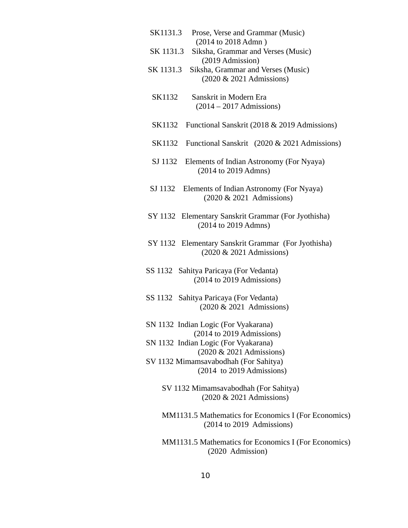| SK1131.3<br>Prose, Verse and Grammar (Music)<br>(2014 to 2018 Admn)             |
|---------------------------------------------------------------------------------|
| Siksha, Grammar and Verses (Music)<br>SK 1131.3<br>(2019 Admission)             |
| SK 1131.3<br>Siksha, Grammar and Verses (Music)<br>(2020 & 2021 Admissions)     |
| SK1132<br>Sanskrit in Modern Era<br>$(2014 - 2017$ Admissions)                  |
| Functional Sanskrit (2018 & 2019 Admissions)<br>SK1132                          |
| SK1132 Functional Sanskrit (2020 & 2021 Admissions)                             |
| SJ 1132<br>Elements of Indian Astronomy (For Nyaya)<br>(2014 to 2019 Admns)     |
| SJ 1132 Elements of Indian Astronomy (For Nyaya)<br>(2020 & 2021 Admissions)    |
| SY 1132 Elementary Sanskrit Grammar (For Jyothisha)<br>(2014 to 2019 Admns)     |
| SY 1132 Elementary Sanskrit Grammar (For Jyothisha)<br>(2020 & 2021 Admissions) |
| SS 1132 Sahitya Paricaya (For Vedanta)<br>(2014 to 2019 Admissions)             |
| SS 1132 Sahitya Paricaya (For Vedanta)<br>(2020 & 2021 Admissions)              |
| SN 1132 Indian Logic (For Vyakarana)<br>(2014 to 2019 Admissions)               |
| SN 1132 Indian Logic (For Vyakarana)<br>(2020 & 2021 Admissions)                |
| SV 1132 Mimamsavabodhah (For Sahitya)<br>(2014 to 2019 Admissions)              |
| SV 1132 Mimamsavabodhah (For Sahitya)<br>(2020 & 2021 Admissions)               |
|                                                                                 |

MM1131.5 Mathematics for Economics I (For Economics) (2014 to 2019 Admissions)

MM1131.5 Mathematics for Economics I (For Economics) (2020 Admission)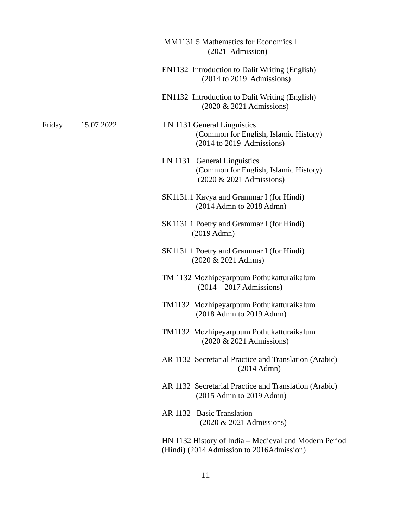- MM1131.5 Mathematics for Economics I (2021 Admission) EN1132 Introduction to Dalit Writing (English) (2014 to 2019 Admissions) EN1132 Introduction to Dalit Writing (English) (2020 & 2021 Admissions) Friday 15.07.2022 LN 1131 General Linguistics (Common for English, Islamic History) (2014 to 2019 Admissions) LN 1131 General Linguistics (Common for English, Islamic History) (2020 & 2021 Admissions)
	- SK1131.1 Kavya and Grammar I (for Hindi) (2014 Admn to 2018 Admn)
	- SK1131.1 Poetry and Grammar I (for Hindi) (2019 Admn)
	- SK1131.1 Poetry and Grammar I (for Hindi) (2020 & 2021 Admns)
	- TM 1132 Mozhipeyarppum Pothukatturaikalum (2014 – 2017 Admissions)
	- TM1132 Mozhipeyarppum Pothukatturaikalum (2018 Admn to 2019 Admn)
	- TM1132 Mozhipeyarppum Pothukatturaikalum (2020 & 2021 Admissions)
	- AR 1132 Secretarial Practice and Translation (Arabic) (2014 Admn)
	- AR 1132 Secretarial Practice and Translation (Arabic) (2015 Admn to 2019 Admn)
	- AR 1132 Basic Translation (2020 & 2021 Admissions)

HN 1132 History of India – Medieval and Modern Period (Hindi) (2014 Admission to 2016Admission)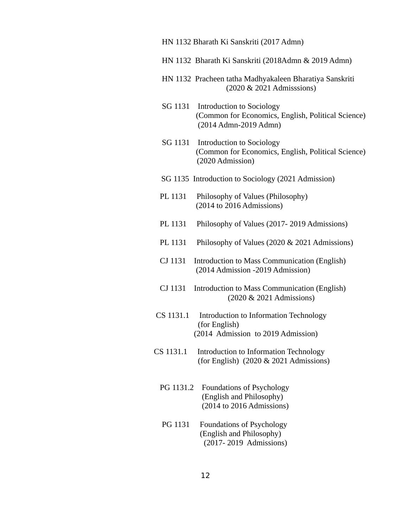|  | HN 1132 Bharath Ki Sanskriti (2017 Admn) |  |
|--|------------------------------------------|--|
|--|------------------------------------------|--|

- HN 1132 Bharath Ki Sanskriti (2018Admn & 2019 Admn)
- HN 1132 Pracheen tatha Madhyakaleen Bharatiya Sanskriti (2020 & 2021 Admisssions)
- SG 1131 Introduction to Sociology (Common for Economics, English, Political Science) (2014 Admn-2019 Admn)
- SG 1131 Introduction to Sociology (Common for Economics, English, Political Science) (2020 Admission)
- SG 1135 Introduction to Sociology (2021 Admission)
- PL 1131 Philosophy of Values (Philosophy) (2014 to 2016 Admissions)
- PL 1131 Philosophy of Values (2017- 2019 Admissions)
- PL 1131 Philosophy of Values (2020 & 2021 Admissions)
- CJ 1131 Introduction to Mass Communication (English) (2014 Admission -2019 Admission)
- CJ 1131 Introduction to Mass Communication (English) (2020 & 2021 Admissions)
- CS 1131.1 Introduction to Information Technology (for English) (2014 Admission to 2019 Admission)
- CS 1131.1 Introduction to Information Technology (for English) (2020 & 2021 Admissions)
	- PG 1131.2 Foundations of Psychology (English and Philosophy) (2014 to 2016 Admissions)
	- PG 1131 Foundations of Psychology (English and Philosophy) (2017- 2019 Admissions)